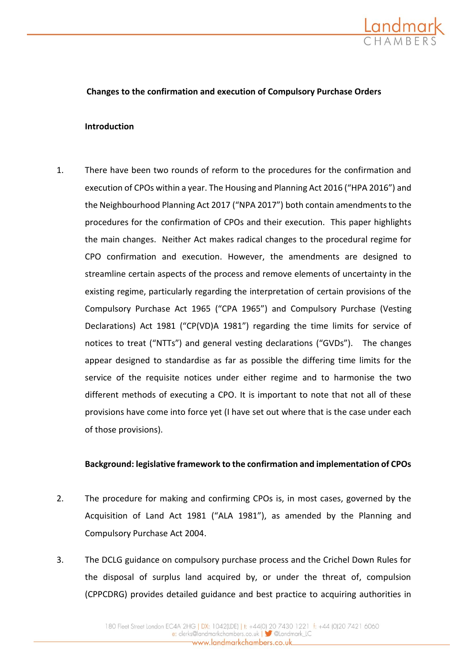

## **Changes to the confirmation and execution of Compulsory Purchase Orders**

#### **Introduction**

1. There have been two rounds of reform to the procedures for the confirmation and execution of CPOs within a year. The Housing and Planning Act 2016 ("HPA 2016") and the Neighbourhood Planning Act 2017 ("NPA 2017") both contain amendments to the procedures for the confirmation of CPOs and their execution. This paper highlights the main changes. Neither Act makes radical changes to the procedural regime for CPO confirmation and execution. However, the amendments are designed to streamline certain aspects of the process and remove elements of uncertainty in the existing regime, particularly regarding the interpretation of certain provisions of the Compulsory Purchase Act 1965 ("CPA 1965") and Compulsory Purchase (Vesting Declarations) Act 1981 ("CP(VD)A 1981") regarding the time limits for service of notices to treat ("NTTs") and general vesting declarations ("GVDs"). The changes appear designed to standardise as far as possible the differing time limits for the service of the requisite notices under either regime and to harmonise the two different methods of executing a CPO. It is important to note that not all of these provisions have come into force yet (I have set out where that is the case under each of those provisions).

#### **Background: legislative framework to the confirmation and implementation of CPOs**

- 2. The procedure for making and confirming CPOs is, in most cases, governed by the Acquisition of Land Act 1981 ("ALA 1981"), as amended by the Planning and Compulsory Purchase Act 2004.
- 3. The DCLG guidance on compulsory purchase process and the Crichel Down Rules for the disposal of surplus land acquired by, or under the threat of, compulsion (CPPCDRG) provides detailed guidance and best practice to acquiring authorities in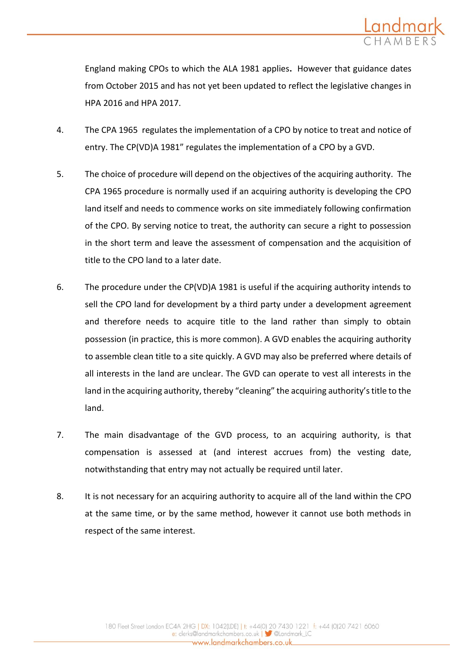

England making CPOs to which the ALA 1981 applies**.** However that guidance dates from October 2015 and has not yet been updated to reflect the legislative changes in HPA 2016 and HPA 2017.

- 4. The CPA 1965 regulates the implementation of a CPO by notice to treat and notice of entry. The CP(VD)A 1981" regulates the implementation of a CPO by a GVD.
- 5. The choice of procedure will depend on the objectives of the acquiring authority. The CPA 1965 procedure is normally used if an acquiring authority is developing the CPO land itself and needs to commence works on site immediately following confirmation of the CPO. By serving notice to treat, the authority can secure a right to possession in the short term and leave the assessment of compensation and the acquisition of title to the CPO land to a later date.
- 6. The procedure under the CP(VD)A 1981 is useful if the acquiring authority intends to sell the CPO land for development by a third party under a development agreement and therefore needs to acquire title to the land rather than simply to obtain possession (in practice, this is more common). A GVD enables the acquiring authority to assemble clean title to a site quickly. A GVD may also be preferred where details of all interests in the land are unclear. The GVD can operate to vest all interests in the land in the acquiring authority, thereby "cleaning" the acquiring authority's title to the land.
- 7. The main disadvantage of the GVD process, to an acquiring authority, is that compensation is assessed at (and interest accrues from) the vesting date, notwithstanding that entry may not actually be required until later.
- 8. It is not necessary for an acquiring authority to acquire all of the land within the CPO at the same time, or by the same method, however it cannot use both methods in respect of the same interest.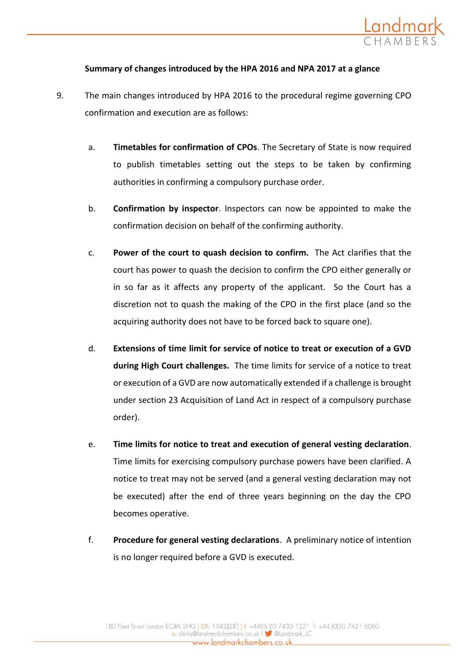

## **Summary of changes introduced by the HPA 2016 and NPA 2017 at a glance**

- 9. The main changes introduced by HPA 2016 to the procedural regime governing CPO confirmation and execution are as follows:
	- a. **Timetables for confirmation of CPOs**. The Secretary of State is now required to publish timetables setting out the steps to be taken by confirming authorities in confirming a compulsory purchase order.
	- b. **Confirmation by inspector**. Inspectors can now be appointed to make the confirmation decision on behalf of the confirming authority.
	- c. **Power of the court to quash decision to confirm.** The Act clarifies that the court has power to quash the decision to confirm the CPO either generally or in so far as it affects any property of the applicant. So the Court has a discretion not to quash the making of the CPO in the first place (and so the acquiring authority does not have to be forced back to square one).
	- d. **Extensions of time limit for service of notice to treat or execution of a GVD during High Court challenges.** The time limits for service of a notice to treat or execution of a GVD are now automatically extended if a challenge is brought under section 23 Acquisition of Land Act in respect of a compulsory purchase order).
	- e. **Time limits for notice to treat and execution of general vesting declaration**. Time limits for exercising compulsory purchase powers have been clarified. A notice to treat may not be served (and a general vesting declaration may not be executed) after the end of three years beginning on the day the CPO becomes operative.
	- f. **Procedure for general vesting declarations**. A preliminary notice of intention is no longer required before a GVD is executed.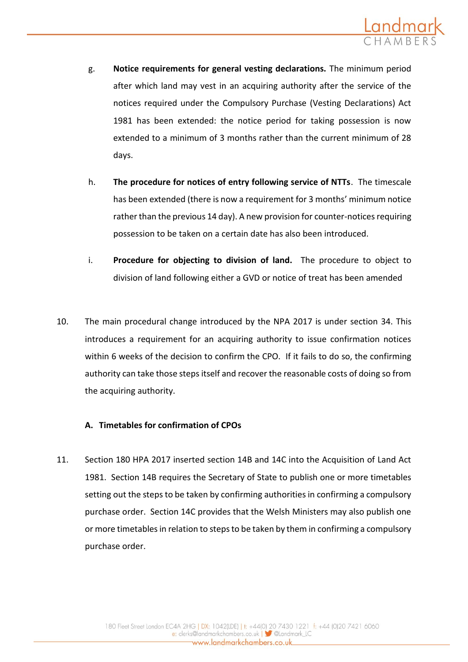

- g. **Notice requirements for general vesting declarations.** The minimum period after which land may vest in an acquiring authority after the service of the notices required under the Compulsory Purchase (Vesting Declarations) Act 1981 has been extended: the notice period for taking possession is now extended to a minimum of 3 months rather than the current minimum of 28 days.
- h. **The procedure for notices of entry following service of NTTs**. The timescale has been extended (there is now a requirement for 3 months' minimum notice rather than the previous 14 day). A new provision for counter-notices requiring possession to be taken on a certain date has also been introduced.
- i. **Procedure for objecting to division of land.** The procedure to object to division of land following either a GVD or notice of treat has been amended
- 10. The main procedural change introduced by the NPA 2017 is under section 34. This introduces a requirement for an acquiring authority to issue confirmation notices within 6 weeks of the decision to confirm the CPO. If it fails to do so, the confirming authority can take those steps itself and recover the reasonable costs of doing so from the acquiring authority.

## **A. Timetables for confirmation of CPOs**

11. Section 180 HPA 2017 inserted section 14B and 14C into the Acquisition of Land Act 1981. Section 14B requires the Secretary of State to publish one or more timetables setting out the steps to be taken by confirming authorities in confirming a compulsory purchase order. Section 14C provides that the Welsh Ministers may also publish one or more timetables in relation to steps to be taken by them in confirming a compulsory purchase order.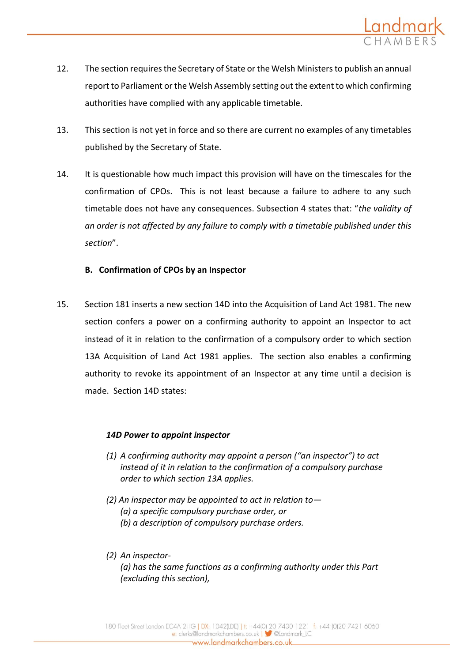

- 12. The section requires the Secretary of State or the Welsh Ministers to publish an annual report to Parliament or the Welsh Assembly setting out the extent to which confirming authorities have complied with any applicable timetable.
- 13. This section is not yet in force and so there are current no examples of any timetables published by the Secretary of State.
- 14. It is questionable how much impact this provision will have on the timescales for the confirmation of CPOs. This is not least because a failure to adhere to any such timetable does not have any consequences. Subsection 4 states that: "*the validity of an order is not affected by any failure to comply with a timetable published under this section*".

## **B. Confirmation of CPOs by an Inspector**

15. Section 181 inserts a new section 14D into the Acquisition of Land Act 1981. The new section confers a power on a confirming authority to appoint an Inspector to act instead of it in relation to the confirmation of a compulsory order to which section 13A Acquisition of Land Act 1981 applies. The section also enables a confirming authority to revoke its appointment of an Inspector at any time until a decision is made. Section 14D states:

## *14D Power to appoint inspector*

- *(1) A confirming authority may appoint a person ("an inspector") to act instead of it in relation to the confirmation of a compulsory purchase order to which section 13A applies.*
- *(2) An inspector may be appointed to act in relation to— (a) a specific compulsory purchase order, or (b) a description of compulsory purchase orders.*
- *(2) An inspector- (a) has the same functions as a confirming authority under this Part (excluding this section),*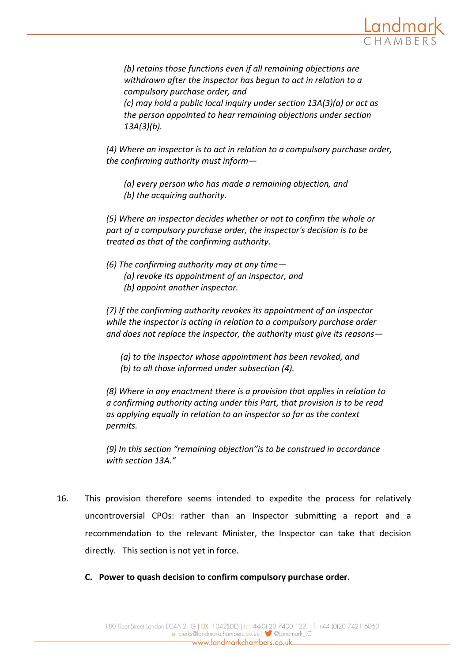

*(b) retains those functions even if all remaining objections are withdrawn after the inspector has begun to act in relation to a compulsory purchase order, and (c) may hold a public local inquiry under section 13A(3)(a) or act as the person appointed to hear remaining objections under section 13A(3)(b).*

*(4) Where an inspector is to act in relation to a compulsory purchase order, the confirming authority must inform—*

- *(a) every person who has made a remaining objection, and*
- *(b) the acquiring authority.*

*(5) Where an inspector decides whether or not to confirm the whole or part of a compulsory purchase order, the inspector's decision is to be treated as that of the confirming authority.*

- *(6) The confirming authority may at any time—*
	- *(a) revoke its appointment of an inspector, and*
	- *(b) appoint another inspector.*

*(7) If the confirming authority revokes its appointment of an inspector while the inspector is acting in relation to a compulsory purchase order and does not replace the inspector, the authority must give its reasons—*

*(a) to the inspector whose appointment has been revoked, and (b) to all those informed under subsection (4).*

*(8) Where in any enactment there is a provision that applies in relation to a confirming authority acting under this Part, that provision is to be read as applying equally in relation to an inspector so far as the context permits.*

*(9) In this section "remaining objection"is to be construed in accordance with section 13A."*

- 16. This provision therefore seems intended to expedite the process for relatively uncontroversial CPOs: rather than an Inspector submitting a report and a recommendation to the relevant Minister, the Inspector can take that decision directly. This section is not yet in force.
	- **C. Power to quash decision to confirm compulsory purchase order.**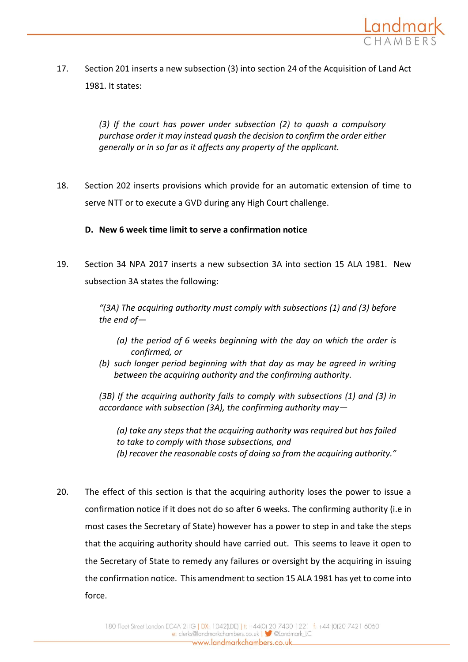

17. Section 201 inserts a new subsection (3) into section 24 of the Acquisition of Land Act 1981. It states:

> *(3) If the court has power under subsection (2) to quash a compulsory purchase order it may instead quash the decision to confirm the order either generally or in so far as it affects any property of the applicant.*

18. Section 202 inserts provisions which provide for an automatic extension of time to serve NTT or to execute a GVD during any High Court challenge.

# **D. New 6 week time limit to serve a confirmation notice**

19. Section 34 NPA 2017 inserts a new subsection 3A into section 15 ALA 1981. New subsection 3A states the following:

> *"(3A) The acquiring authority must comply with subsections (1) and (3) before the end of—*

- *(a) the period of 6 weeks beginning with the day on which the order is confirmed, or*
- *(b) such longer period beginning with that day as may be agreed in writing between the acquiring authority and the confirming authority.*

*(3B) If the acquiring authority fails to comply with subsections (1) and (3) in accordance with subsection (3A), the confirming authority may—*

*(a) take any steps that the acquiring authority was required but has failed to take to comply with those subsections, and*

- *(b) recover the reasonable costs of doing so from the acquiring authority."*
- 20. The effect of this section is that the acquiring authority loses the power to issue a confirmation notice if it does not do so after 6 weeks. The confirming authority (i.e in most cases the Secretary of State) however has a power to step in and take the steps that the acquiring authority should have carried out. This seems to leave it open to the Secretary of State to remedy any failures or oversight by the acquiring in issuing the confirmation notice. This amendment to section 15 ALA 1981 has yet to come into force.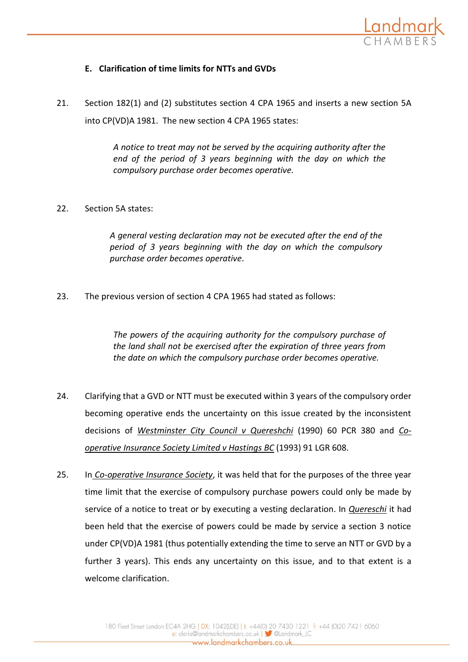

# **E. Clarification of time limits for NTTs and GVDs**

21. Section 182(1) and (2) substitutes section 4 CPA 1965 and inserts a new section 5A into CP(VD)A 1981. The new section 4 CPA 1965 states:

> *A notice to treat may not be served by the acquiring authority after the end of the period of 3 years beginning with the day on which the compulsory purchase order becomes operative.*

22. Section 5A states:

*A general vesting declaration may not be executed after the end of the period of 3 years beginning with the day on which the compulsory purchase order becomes operative.*

23. The previous version of section 4 CPA 1965 had stated as follows:

*The powers of the acquiring authority for the compulsory purchase of the land shall not be exercised after the expiration of three years from the date on which the compulsory purchase order becomes operative.*

- 24. Clarifying that a GVD or NTT must be executed within 3 years of the compulsory order becoming operative ends the uncertainty on this issue created by the inconsistent decisions of *Westminster City Council v Quereshchi* (1990) 60 PCR 380 and *Cooperative Insurance Society Limited v Hastings BC* (1993) 91 LGR 608.
- 25. In *Co-operative Insurance Society*, it was held that for the purposes of the three year time limit that the exercise of compulsory purchase powers could only be made by service of a notice to treat or by executing a vesting declaration. In *Quereschi* it had been held that the exercise of powers could be made by service a section 3 notice under CP(VD)A 1981 (thus potentially extending the time to serve an NTT or GVD by a further 3 years). This ends any uncertainty on this issue, and to that extent is a welcome clarification.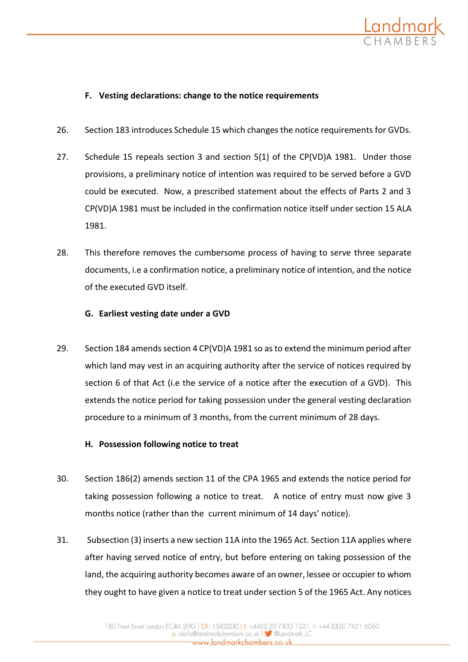

## **F. Vesting declarations: change to the notice requirements**

- 26. Section 183 introduces Schedule 15 which changes the notice requirements for GVDs.
- 27. Schedule 15 repeals section 3 and section 5(1) of the CP(VD)A 1981. Under those provisions, a preliminary notice of intention was required to be served before a GVD could be executed. Now, a prescribed statement about the effects of Parts 2 and 3 CP(VD)A 1981 must be included in the confirmation notice itself under section 15 ALA 1981.
- 28. This therefore removes the cumbersome process of having to serve three separate documents, i.e a confirmation notice, a preliminary notice of intention, and the notice of the executed GVD itself.

## **G. Earliest vesting date under a GVD**

29. Section 184 amends section 4 CP(VD)A 1981 so as to extend the minimum period after which land may vest in an acquiring authority after the service of notices required by section 6 of that Act (i.e the service of a notice after the execution of a GVD). This extends the notice period for taking possession under the general vesting declaration procedure to a minimum of 3 months, from the current minimum of 28 days.

## **H. Possession following notice to treat**

- 30. Section 186(2) amends section 11 of the CPA 1965 and extends the notice period for taking possession following a notice to treat. A notice of entry must now give 3 months notice (rather than the current minimum of 14 days' notice).
- 31. Subsection (3) inserts a new section 11A into the 1965 Act. Section 11A applies where after having served notice of entry, but before entering on taking possession of the land, the acquiring authority becomes aware of an owner, lessee or occupier to whom they ought to have given a notice to treat under section 5 of the 1965 Act. Any notices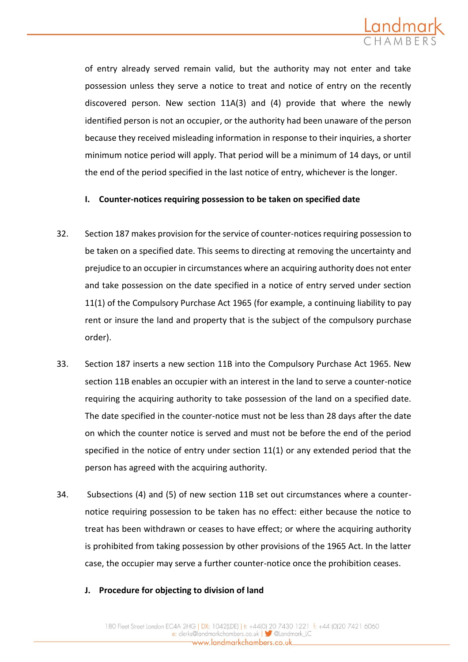

of entry already served remain valid, but the authority may not enter and take possession unless they serve a notice to treat and notice of entry on the recently discovered person. New section 11A(3) and (4) provide that where the newly identified person is not an occupier, or the authority had been unaware of the person because they received misleading information in response to their inquiries, a shorter minimum notice period will apply. That period will be a minimum of 14 days, or until the end of the period specified in the last notice of entry, whichever is the longer.

### **I. Counter-notices requiring possession to be taken on specified date**

- 32. Section 187 makes provision for the service of counter-notices requiring possession to be taken on a specified date. This seems to directing at removing the uncertainty and prejudice to an occupier in circumstances where an acquiring authority does not enter and take possession on the date specified in a notice of entry served under section 11(1) of the Compulsory Purchase Act 1965 (for example, a continuing liability to pay rent or insure the land and property that is the subject of the compulsory purchase order).
- 33. Section 187 inserts a new section 11B into the Compulsory Purchase Act 1965. New section 11B enables an occupier with an interest in the land to serve a counter-notice requiring the acquiring authority to take possession of the land on a specified date. The date specified in the counter-notice must not be less than 28 days after the date on which the counter notice is served and must not be before the end of the period specified in the notice of entry under section 11(1) or any extended period that the person has agreed with the acquiring authority.
- 34. Subsections (4) and (5) of new section 11B set out circumstances where a counternotice requiring possession to be taken has no effect: either because the notice to treat has been withdrawn or ceases to have effect; or where the acquiring authority is prohibited from taking possession by other provisions of the 1965 Act. In the latter case, the occupier may serve a further counter-notice once the prohibition ceases.
	- **J. Procedure for objecting to division of land**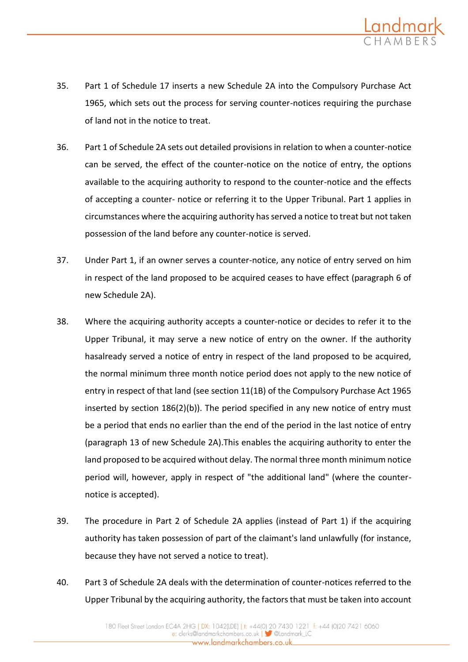

- 35. Part 1 of Schedule 17 inserts a new Schedule 2A into the Compulsory Purchase Act 1965, which sets out the process for serving counter-notices requiring the purchase of land not in the notice to treat.
- 36. Part 1 of Schedule 2A sets out detailed provisions in relation to when a counter-notice can be served, the effect of the counter-notice on the notice of entry, the options available to the acquiring authority to respond to the counter-notice and the effects of accepting a counter- notice or referring it to the Upper Tribunal. Part 1 applies in circumstances where the acquiring authority has served a notice to treat but not taken possession of the land before any counter-notice is served.
- 37. Under Part 1, if an owner serves a counter-notice, any notice of entry served on him in respect of the land proposed to be acquired ceases to have effect (paragraph 6 of new Schedule 2A).
- 38. Where the acquiring authority accepts a counter-notice or decides to refer it to the Upper Tribunal, it may serve a new notice of entry on the owner. If the authority hasalready served a notice of entry in respect of the land proposed to be acquired, the normal minimum three month notice period does not apply to the new notice of entry in respect of that land (see section 11(1B) of the Compulsory Purchase Act 1965 inserted by section 186(2)(b)). The period specified in any new notice of entry must be a period that ends no earlier than the end of the period in the last notice of entry (paragraph 13 of new Schedule 2A).This enables the acquiring authority to enter the land proposed to be acquired without delay. The normal three month minimum notice period will, however, apply in respect of "the additional land" (where the counternotice is accepted).
- 39. The procedure in Part 2 of Schedule 2A applies (instead of Part 1) if the acquiring authority has taken possession of part of the claimant's land unlawfully (for instance, because they have not served a notice to treat).
- 40. Part 3 of Schedule 2A deals with the determination of counter-notices referred to the Upper Tribunal by the acquiring authority, the factors that must be taken into account